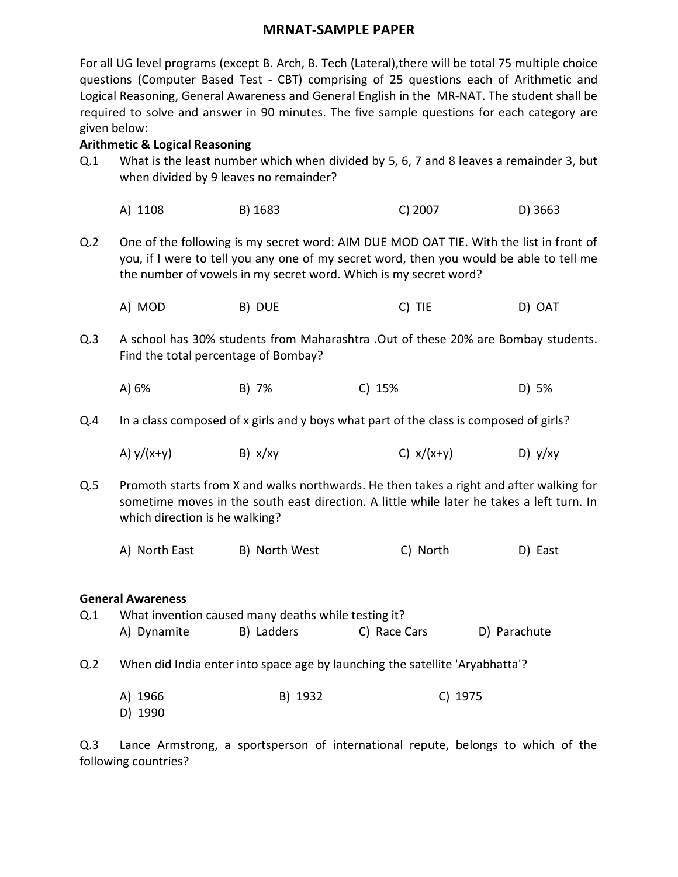## **MRNAT-SAMPLE PAPER**

For all UG level programs (except B. Arch, B. Tech (Lateral),there will be total 75 multiple choice questions (Computer Based Test - CBT) comprising of 25 questions each of Arithmetic and Logical Reasoning, General Awareness and General English in the MR-NAT. The student shall be required to solve and answer in 90 minutes. The five sample questions for each category are given below:

#### **Arithmetic & Logical Reasoning**

- Q.1 What is the least number which when divided by 5, 6, 7 and 8 leaves a remainder 3, but when divided by 9 leaves no remainder?
	- A) 1108 B) 1683 C) 2007 D) 3663
- Q.2 One of the following is my secret word: AIM DUE MOD OAT TIE. With the list in front of you, if I were to tell you any one of my secret word, then you would be able to tell me the number of vowels in my secret word. Which is my secret word?
	- A) MOD B) DUE C) TIE D) OAT
- Q.3 A school has 30% students from Maharashtra .Out of these 20% are Bombay students. Find the total percentage of Bombay?
	- A) 6% B) 7% C) 15% D) 5%
- Q.4 In a class composed of x girls and y boys what part of the class is composed of girls?
	- A)  $y/(x+y)$  B)  $x/xy$  C)  $x/(x+y)$  D)  $y/xy$
- Q.5 Promoth starts from X and walks northwards. He then takes a right and after walking for sometime moves in the south east direction. A little while later he takes a left turn. In which direction is he walking?
	- A) North East B) North West C) North D) East

#### **General Awareness**

Q.1 What invention caused many deaths while testing it? A) Dynamite B) Ladders C) Race Cars D) Parachute

- Q.2 When did India enter into space age by launching the satellite 'Aryabhatta'?
	- A) 1966 B) 1932 C) 1975 D) 1990

Q.3 Lance Armstrong, a sportsperson of international repute, belongs to which of the following countries?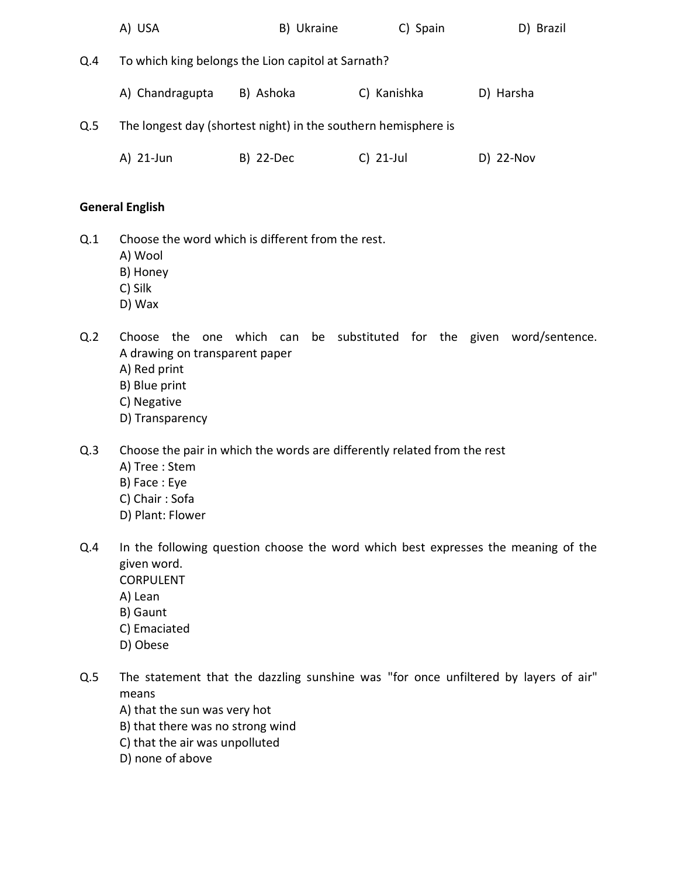|     | A) USA                                                         | B) Ukraine | C) Spain    | D) Brazil |  |  |
|-----|----------------------------------------------------------------|------------|-------------|-----------|--|--|
| Q.4 | To which king belongs the Lion capitol at Sarnath?             |            |             |           |  |  |
|     | A) Chandragupta                                                | B) Ashoka  | C) Kanishka | D) Harsha |  |  |
| Q.5 | The longest day (shortest night) in the southern hemisphere is |            |             |           |  |  |
|     | A) 21-Jun                                                      | B) 22-Dec  | $C)$ 21-Jul | D) 22-Nov |  |  |

## **General English**

- Q.1 Choose the word which is different from the rest.
	- A) Wool
	- B) Honey
	- C) Silk
	- D) Wax
- Q.2 Choose the one which can be substituted for the given word/sentence. A drawing on transparent paper
	- A) Red print
	- B) Blue print
	- C) Negative
	- D) Transparency
- Q.3 Choose the pair in which the words are differently related from the rest
	- A) Tree : Stem
	- B) Face : Eye
	- C) Chair : Sofa
	- D) Plant: Flower
- Q.4 In the following question choose the word which best expresses the meaning of the given word. CORPULENT
	-
	- A) Lean
	- B) Gaunt
	- C) Emaciated
	- D) Obese
- Q.5 The statement that the dazzling sunshine was "for once unfiltered by layers of air" means
	- A) that the sun was very hot
	- B) that there was no strong wind
	- C) that the air was unpolluted
	- D) none of above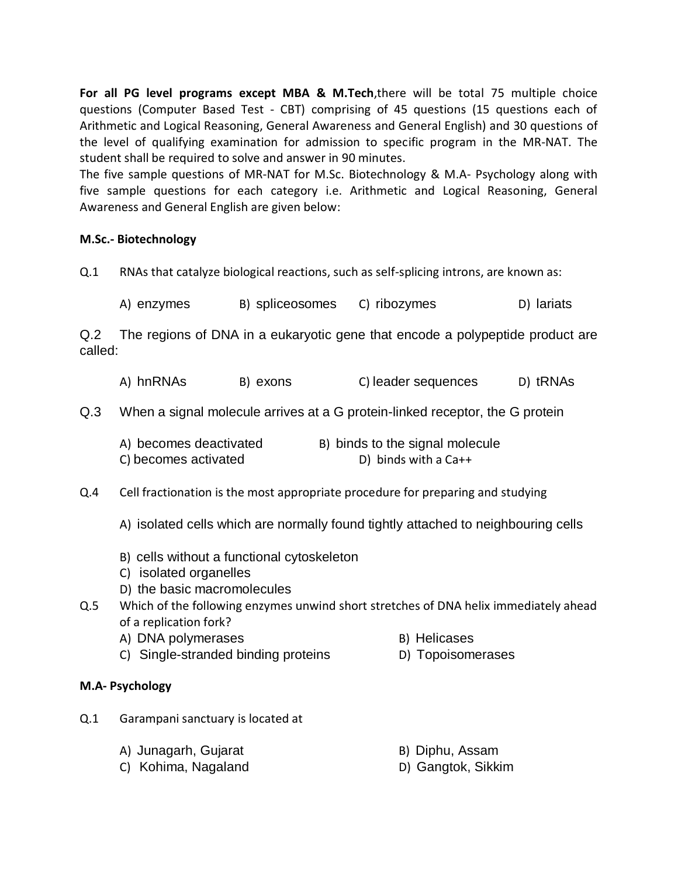**For all PG level programs except MBA & M.Tech**,there will be total 75 multiple choice questions (Computer Based Test - CBT) comprising of 45 questions (15 questions each of Arithmetic and Logical Reasoning, General Awareness and General English) and 30 questions of the level of qualifying examination for admission to specific program in the MR-NAT. The student shall be required to solve and answer in 90 minutes.

The five sample questions of MR-NAT for M.Sc. Biotechnology & M.A- Psychology along with five sample questions for each category i.e. Arithmetic and Logical Reasoning, General Awareness and General English are given below:

## **M.Sc.- Biotechnology**

Q.1 RNAs that catalyze biological reactions, such as self-splicing introns, are known as:

A) enzymes B) spliceosomes C) ribozymes D) lariats

Q.2 The regions of DNA in a eukaryotic gene that encode a polypeptide product are called:

- A) hnRNAs B) exons C) leader sequences D) tRNAs
- Q.3 When a signal molecule arrives at a G protein-linked receptor, the G protein

| A) becomes deactivated | B) binds to the signal molecule |
|------------------------|---------------------------------|
| C) becomes activated   | D) binds with a $Ca++$          |

Q.4 Cell fractionation is the most appropriate procedure for preparing and studying

A) isolated cells which are normally found tightly attached to neighbouring cells

- B) cells without a functional cytoskeleton
- C) isolated organelles
- D) the basic macromolecules
- Q.5 Which of the following enzymes unwind short stretches of DNA helix immediately ahead of a replication fork?
	- A) DNA polymerases B) Helicases
		-
	- C) Single-stranded binding proteins D) Topoisomerases
- 

#### **M.A- Psychology**

- Q.1 Garampani sanctuary is located at
	- A) Junagarh, Gujarat B) Diphu, Assam
		-
	- C) Kohima, Nagaland D) Gangtok, Sikkim
-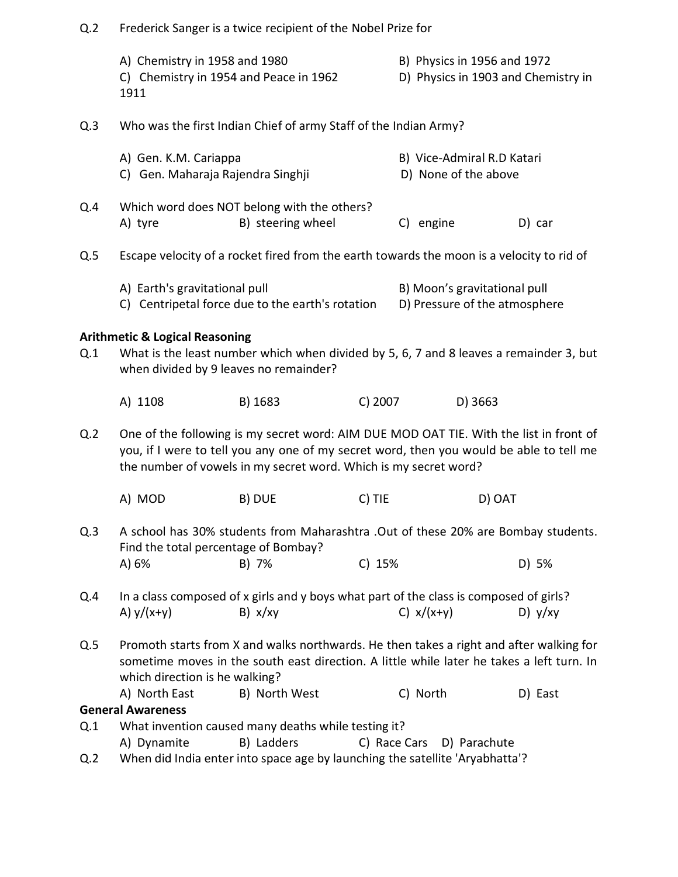| Q.2            | Frederick Sanger is a twice recipient of the Nobel Prize for                                                                                                                                                                                          |                                                                                                                           |         |          |                                                                    |           |
|----------------|-------------------------------------------------------------------------------------------------------------------------------------------------------------------------------------------------------------------------------------------------------|---------------------------------------------------------------------------------------------------------------------------|---------|----------|--------------------------------------------------------------------|-----------|
|                | A) Chemistry in 1958 and 1980<br>C) Chemistry in 1954 and Peace in 1962<br>1911                                                                                                                                                                       |                                                                                                                           |         |          | B) Physics in 1956 and 1972<br>D) Physics in 1903 and Chemistry in |           |
| Q.3            | Who was the first Indian Chief of army Staff of the Indian Army?                                                                                                                                                                                      |                                                                                                                           |         |          |                                                                    |           |
|                | A) Gen. K.M. Cariappa<br>C) Gen. Maharaja Rajendra Singhji                                                                                                                                                                                            |                                                                                                                           |         |          | B) Vice-Admiral R.D Katari<br>D) None of the above                 |           |
| Q.4            | A) tyre                                                                                                                                                                                                                                               | Which word does NOT belong with the others?<br>B) steering wheel                                                          |         |          | C) engine                                                          | D) car    |
| Q.5            | Escape velocity of a rocket fired from the earth towards the moon is a velocity to rid of                                                                                                                                                             |                                                                                                                           |         |          |                                                                    |           |
|                | A) Earth's gravitational pull                                                                                                                                                                                                                         | C) Centripetal force due to the earth's rotation                                                                          |         |          | B) Moon's gravitational pull<br>D) Pressure of the atmosphere      |           |
|                | <b>Arithmetic &amp; Logical Reasoning</b>                                                                                                                                                                                                             |                                                                                                                           |         |          |                                                                    |           |
| Q.1            | What is the least number which when divided by 5, 6, 7 and 8 leaves a remainder 3, but<br>when divided by 9 leaves no remainder?                                                                                                                      |                                                                                                                           |         |          |                                                                    |           |
|                | A) 1108                                                                                                                                                                                                                                               | B) 1683                                                                                                                   | C) 2007 |          | D) 3663                                                            |           |
| Q.2            | One of the following is my secret word: AIM DUE MOD OAT TIE. With the list in front of<br>you, if I were to tell you any one of my secret word, then you would be able to tell me<br>the number of vowels in my secret word. Which is my secret word? |                                                                                                                           |         |          |                                                                    |           |
|                | A) MOD                                                                                                                                                                                                                                                | B) DUE                                                                                                                    | C) TIE  |          | D) OAT                                                             |           |
| Q.3            |                                                                                                                                                                                                                                                       | A school has 30% students from Maharashtra .Out of these 20% are Bombay students.<br>Find the total percentage of Bombay? |         |          |                                                                    |           |
|                | A) 6%                                                                                                                                                                                                                                                 | B) 7%                                                                                                                     | C) 15%  |          |                                                                    | D) 5%     |
| Q.4            | A) $y/(x+y)$                                                                                                                                                                                                                                          | In a class composed of x girls and y boys what part of the class is composed of girls?<br>B) x/xy                         |         |          | C) $x/(x+y)$                                                       | D) $y/xy$ |
| Q.5            | Promoth starts from X and walks northwards. He then takes a right and after walking for<br>sometime moves in the south east direction. A little while later he takes a left turn. In<br>which direction is he walking?                                |                                                                                                                           |         |          |                                                                    |           |
|                | A) North East                                                                                                                                                                                                                                         | B) North West                                                                                                             |         | C) North |                                                                    | D) East   |
| Q.1            | <b>General Awareness</b>                                                                                                                                                                                                                              |                                                                                                                           |         |          |                                                                    |           |
|                | What invention caused many deaths while testing it?<br>B) Ladders<br>A) Dynamite<br>C) Race Cars<br>D) Parachute                                                                                                                                      |                                                                                                                           |         |          |                                                                    |           |
| Q <sub>2</sub> | When did India enter into space age by launching the satellite 'Aryabhatta'?                                                                                                                                                                          |                                                                                                                           |         |          |                                                                    |           |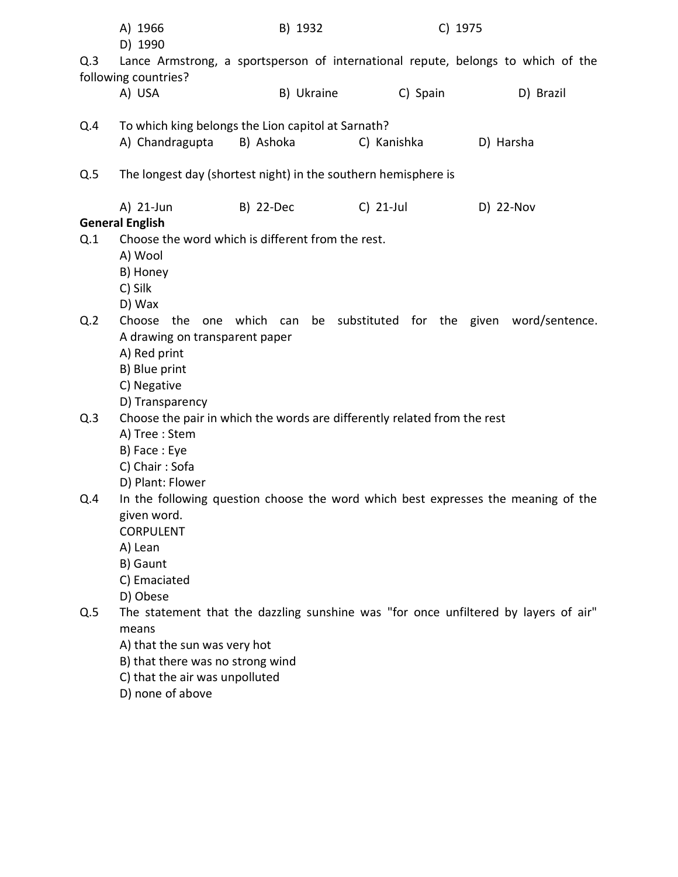|                                                                                          | A) 1966<br>D) 1990                                             | B) 1932                          |                                                                          | C) 1975                                                                             |  |  |
|------------------------------------------------------------------------------------------|----------------------------------------------------------------|----------------------------------|--------------------------------------------------------------------------|-------------------------------------------------------------------------------------|--|--|
| Q.3                                                                                      | following countries?                                           |                                  |                                                                          | Lance Armstrong, a sportsperson of international repute, belongs to which of the    |  |  |
|                                                                                          | A) USA                                                         | B) Ukraine                       | C) Spain                                                                 | D) Brazil                                                                           |  |  |
| Q.4                                                                                      |                                                                |                                  |                                                                          |                                                                                     |  |  |
|                                                                                          | A) Chandragupta                                                | B) Ashoka                        | C) Kanishka                                                              | D) Harsha                                                                           |  |  |
| Q.5                                                                                      | The longest day (shortest night) in the southern hemisphere is |                                  |                                                                          |                                                                                     |  |  |
|                                                                                          | A) 21-Jun                                                      | B) 22-Dec                        | $C)$ 21-Jul                                                              | D) 22-Nov                                                                           |  |  |
|                                                                                          | <b>General English</b>                                         |                                  |                                                                          |                                                                                     |  |  |
| Q.1                                                                                      | Choose the word which is different from the rest.              |                                  |                                                                          |                                                                                     |  |  |
|                                                                                          | A) Wool                                                        |                                  |                                                                          |                                                                                     |  |  |
|                                                                                          | B) Honey                                                       |                                  |                                                                          |                                                                                     |  |  |
|                                                                                          | C) Silk                                                        |                                  |                                                                          |                                                                                     |  |  |
|                                                                                          | D) Wax                                                         |                                  |                                                                          |                                                                                     |  |  |
| Q.2                                                                                      | Choose the<br>one                                              | which can                        |                                                                          | be substituted for the given word/sentence.                                         |  |  |
|                                                                                          | A drawing on transparent paper                                 |                                  |                                                                          |                                                                                     |  |  |
|                                                                                          | A) Red print                                                   |                                  |                                                                          |                                                                                     |  |  |
|                                                                                          | B) Blue print                                                  |                                  |                                                                          |                                                                                     |  |  |
|                                                                                          | C) Negative<br>D) Transparency                                 |                                  |                                                                          |                                                                                     |  |  |
| Q.3                                                                                      |                                                                |                                  | Choose the pair in which the words are differently related from the rest |                                                                                     |  |  |
|                                                                                          | A) Tree : Stem                                                 |                                  |                                                                          |                                                                                     |  |  |
|                                                                                          | B) Face: Eye                                                   |                                  |                                                                          |                                                                                     |  |  |
|                                                                                          | C) Chair: Sofa                                                 |                                  |                                                                          |                                                                                     |  |  |
|                                                                                          | D) Plant: Flower                                               |                                  |                                                                          |                                                                                     |  |  |
| In the following question choose the word which best expresses the meaning of the<br>Q.4 |                                                                |                                  |                                                                          |                                                                                     |  |  |
|                                                                                          | given word.                                                    |                                  |                                                                          |                                                                                     |  |  |
|                                                                                          | <b>CORPULENT</b>                                               |                                  |                                                                          |                                                                                     |  |  |
|                                                                                          | A) Lean                                                        |                                  |                                                                          |                                                                                     |  |  |
|                                                                                          | B) Gaunt                                                       |                                  |                                                                          |                                                                                     |  |  |
|                                                                                          | C) Emaciated                                                   |                                  |                                                                          |                                                                                     |  |  |
|                                                                                          | D) Obese                                                       |                                  |                                                                          |                                                                                     |  |  |
| Q.5                                                                                      |                                                                |                                  |                                                                          | The statement that the dazzling sunshine was "for once unfiltered by layers of air" |  |  |
|                                                                                          | means                                                          |                                  |                                                                          |                                                                                     |  |  |
|                                                                                          | A) that the sun was very hot                                   |                                  |                                                                          |                                                                                     |  |  |
|                                                                                          |                                                                | B) that there was no strong wind |                                                                          |                                                                                     |  |  |
|                                                                                          | C) that the air was unpolluted                                 |                                  |                                                                          |                                                                                     |  |  |
|                                                                                          | D) none of above                                               |                                  |                                                                          |                                                                                     |  |  |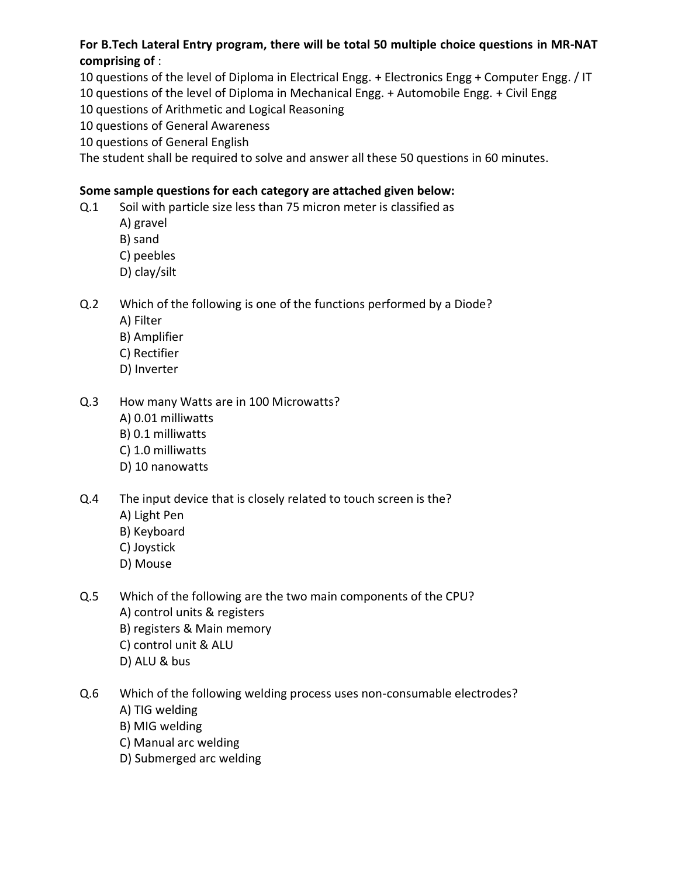**For B.Tech Lateral Entry program, there will be total 50 multiple choice questions in MR-NAT comprising of** :

10 questions of the level of Diploma in Electrical Engg. + Electronics Engg + Computer Engg. / IT 10 questions of the level of Diploma in Mechanical Engg. + Automobile Engg. + Civil Engg

10 questions of Arithmetic and Logical Reasoning

10 questions of General Awareness

10 questions of General English

The student shall be required to solve and answer all these 50 questions in 60 minutes.

# **Some sample questions for each category are attached given below:**

- Q.1 Soil with particle size less than 75 micron meter is classified as
	- A) gravel
	- B) sand
	- C) peebles
	- D) clay/silt

# Q.2 Which of the following is one of the functions performed by a Diode?

- A) Filter
- B) Amplifier
- C) Rectifier
- D) Inverter

# Q.3 How many Watts are in 100 Microwatts?

- A) 0.01 milliwatts
- B) 0.1 milliwatts
- C) 1.0 milliwatts
- D) 10 nanowatts
- Q.4 The input device that is closely related to touch screen is the?
	- A) Light Pen
	- B) Keyboard
	- C) Joystick
	- D) Mouse
- Q.5 Which of the following are the two main components of the CPU? A) control units & registers B) registers & Main memory C) control unit & ALU D) ALU & bus
- Q.6 Which of the following welding process uses non-consumable electrodes? A) TIG welding
	- B) MIG welding
	- C) Manual arc welding
	- D) Submerged arc welding